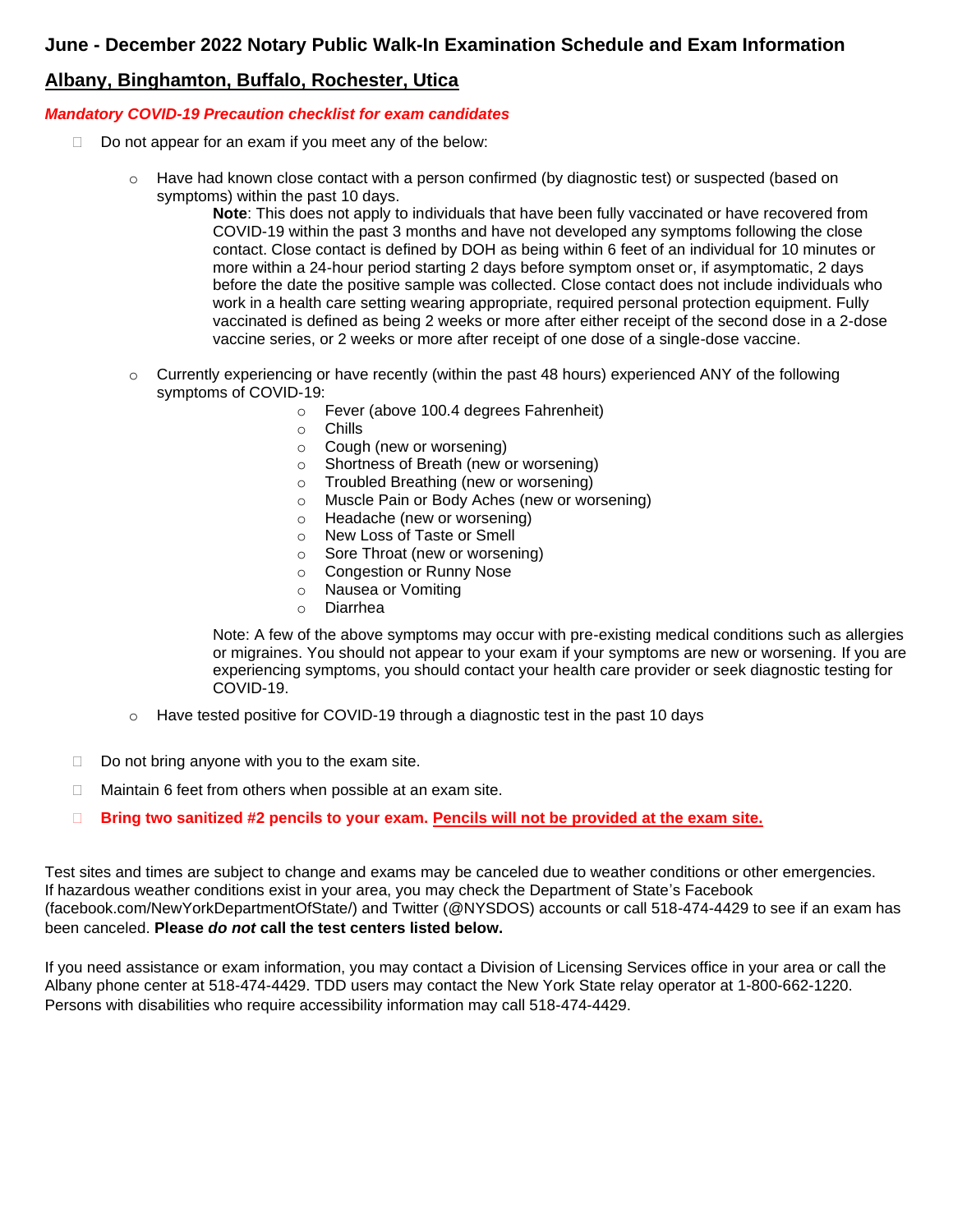## **June - December 2022 Notary Public Walk-In Examination Schedule and Exam Information**

# **Albany, Binghamton, Buffalo, Rochester, Utica**

### *Mandatory COVID-19 Precaution checklist for exam candidates*

- $\Box$  Do not appear for an exam if you meet any of the below:
	- o Have had known close contact with a person confirmed (by diagnostic test) or suspected (based on symptoms) within the past 10 days.

**Note**: This does not apply to individuals that have been fully vaccinated or have recovered from COVID-19 within the past 3 months and have not developed any symptoms following the close contact. Close contact is defined by DOH as being within 6 feet of an individual for 10 minutes or more within a 24-hour period starting 2 days before symptom onset or, if asymptomatic, 2 days before the date the positive sample was collected. Close contact does not include individuals who work in a health care setting wearing appropriate, required personal protection equipment. Fully vaccinated is defined as being 2 weeks or more after either receipt of the second dose in a 2-dose vaccine series, or 2 weeks or more after receipt of one dose of a single-dose vaccine.

- $\circ$  Currently experiencing or have recently (within the past 48 hours) experienced ANY of the following symptoms of COVID-19:
	- o Fever (above 100.4 degrees Fahrenheit)
	- o Chills
	- o Cough (new or worsening)
	- o Shortness of Breath (new or worsening)
	- o Troubled Breathing (new or worsening)
	- o Muscle Pain or Body Aches (new or worsening)
	- o Headache (new or worsening)
	- o New Loss of Taste or Smell
	- o Sore Throat (new or worsening)
	- o Congestion or Runny Nose
	- o Nausea or Vomiting
	- o Diarrhea

Note: A few of the above symptoms may occur with pre-existing medical conditions such as allergies or migraines. You should not appear to your exam if your symptoms are new or worsening. If you are experiencing symptoms, you should contact your health care provider or seek diagnostic testing for COVID-19.

- o Have tested positive for COVID-19 through a diagnostic test in the past 10 days
- $\Box$  Do not bring anyone with you to the exam site.
- $\Box$  Maintain 6 feet from others when possible at an exam site.
- **Bring two sanitized #2 pencils to your exam. Pencils will not be provided at the exam site.**

Test sites and times are subject to change and exams may be canceled due to weather conditions or other emergencies. If hazardous weather conditions exist in your area, you may check the Department of State's Facebook (facebook.com/NewYorkDepartmentOfState/) and Twitter (@NYSDOS) accounts or call 518-474-4429 to see if an exam has been canceled. **Please** *do not* **call the test centers listed below.**

If you need assistance or exam information, you may contact a Division of Licensing Services office in your area or call the Albany phone center at 518-474-4429. TDD users may contact the New York State relay operator at 1-800-662-1220. Persons with disabilities who require accessibility information may call 518-474-4429.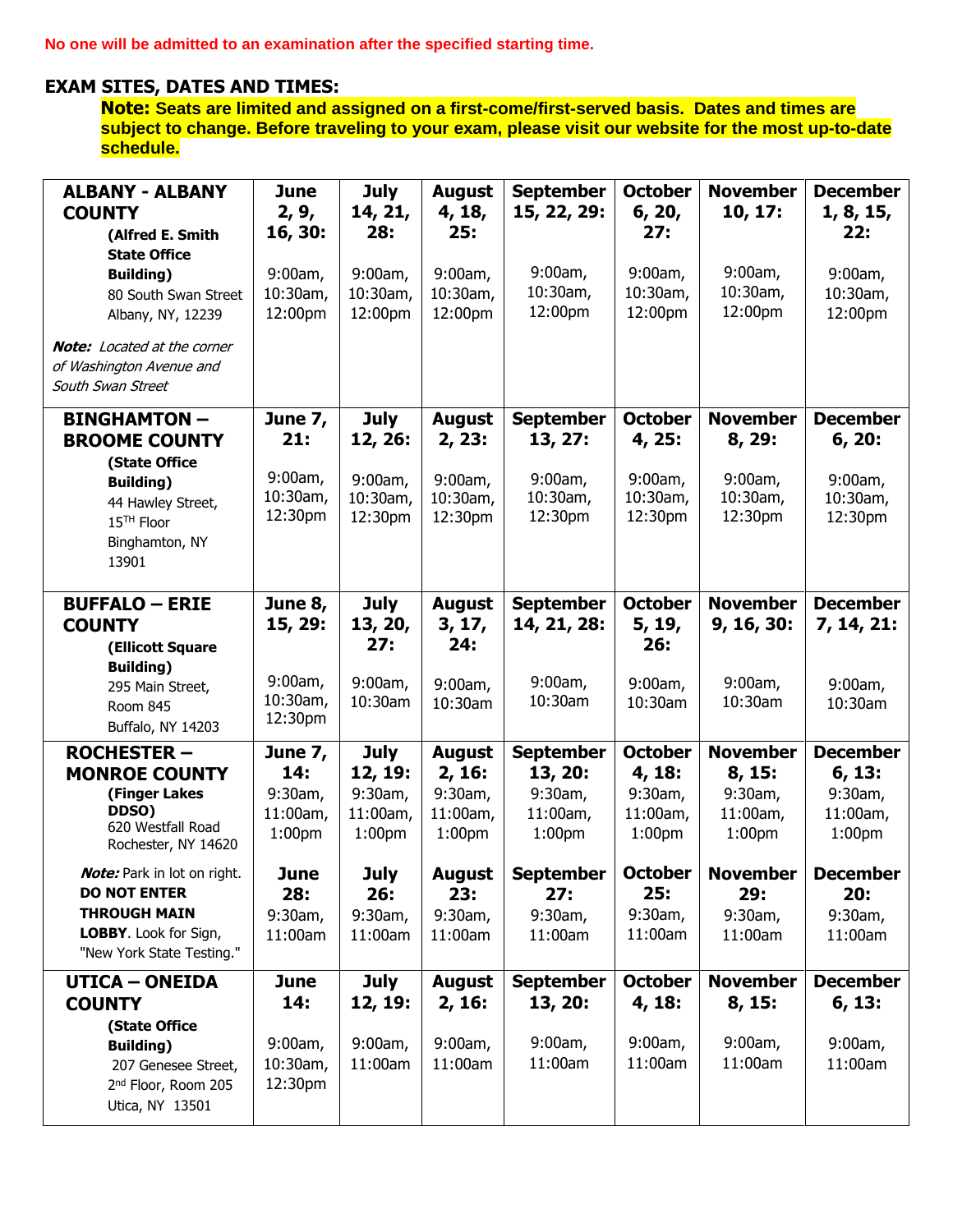**No one will be admitted to an examination after the specified starting time.**

## **EXAM SITES, DATES AND TIMES:**

**Note: Seats are limited and assigned on a first-come/first-served basis. Dates and times are subject to change. Before traveling to your exam, please visit our website for the most up-to-date schedule.**

| <b>ALBANY - ALBANY</b>                                         | June                           | <b>July</b>                    | <b>August</b>                  | <b>September</b>               | <b>October</b>                 | <b>November</b>                | <b>December</b>                |
|----------------------------------------------------------------|--------------------------------|--------------------------------|--------------------------------|--------------------------------|--------------------------------|--------------------------------|--------------------------------|
| <b>COUNTY</b>                                                  | 2, 9,                          | 14, 21,                        | 4, 18,                         | 15, 22, 29:                    | 6, 20,                         | 10, 17:                        | 1, 8, 15,                      |
| (Alfred E. Smith                                               | 16, 30:                        | 28:                            | 25:                            |                                | 27:                            |                                | 22:                            |
| <b>State Office</b><br><b>Building</b> )                       | 9:00am,                        | 9:00am,                        | 9:00am,                        | 9:00am,                        | 9:00am,                        | 9:00am,                        | 9:00am,                        |
| 80 South Swan Street                                           | 10:30am,                       | 10:30am,                       | 10:30am,                       | 10:30am,                       | 10:30am,                       | 10:30am,                       | 10:30am,                       |
| Albany, NY, 12239                                              | 12:00pm                        | 12:00pm                        | 12:00pm                        | 12:00pm                        | 12:00pm                        | 12:00pm                        | 12:00pm                        |
| <b>Note:</b> Located at the corner<br>of Washington Avenue and |                                |                                |                                |                                |                                |                                |                                |
| South Swan Street                                              |                                |                                |                                |                                |                                |                                |                                |
| <b>BINGHAMTON-</b>                                             | <b>June 7,</b>                 | <b>July</b>                    | <b>August</b>                  | <b>September</b>               | <b>October</b>                 | <b>November</b>                | <b>December</b>                |
| <b>BROOME COUNTY</b>                                           | 21:                            | 12, 26:                        | 2, 23:                         | 13, 27:                        | 4, 25:                         | 8, 29:                         | 6, 20:                         |
| (State Office                                                  |                                |                                |                                |                                |                                |                                |                                |
| <b>Building)</b>                                               | 9:00am,<br>10:30am,            | 9:00am,                        | 9:00am,                        | 9:00am,<br>10:30am,            | 9:00am,<br>10:30am,            | 9:00am,<br>10:30am,            | 9:00am,                        |
| 44 Hawley Street,<br>15 <sup>TH</sup> Floor                    | 12:30pm                        | 10:30am,<br>12:30pm            | 10:30am,<br>12:30pm            | 12:30pm                        | 12:30pm                        | 12:30pm                        | 10:30am,<br>12:30pm            |
| Binghamton, NY                                                 |                                |                                |                                |                                |                                |                                |                                |
| 13901                                                          |                                |                                |                                |                                |                                |                                |                                |
|                                                                |                                |                                |                                |                                |                                |                                |                                |
| <b>BUFFALO - ERIE</b>                                          | June 8,                        | <b>July</b>                    | <b>August</b>                  | <b>September</b>               | <b>October</b>                 | <b>November</b>                | <b>December</b>                |
| <b>COUNTY</b>                                                  | 15, 29:                        | 13, 20,<br>27:                 | 3, 17,<br>24:                  | 14, 21, 28:                    | 5, 19,<br>26:                  | 9, 16, 30:                     | 7, 14, 21:                     |
| (Ellicott Square<br><b>Building</b> )                          |                                |                                |                                |                                |                                |                                |                                |
| 295 Main Street,                                               | 9:00am,                        | 9:00am,                        | 9:00am,                        | 9:00am,                        | 9:00am,                        | 9:00am,                        | 9:00am,                        |
| Room 845                                                       | 10:30am,                       | 10:30am                        | 10:30am                        | 10:30am                        | 10:30am                        | 10:30am                        | 10:30am                        |
| Buffalo, NY 14203                                              | 12:30pm                        |                                |                                |                                |                                |                                |                                |
| <b>ROCHESTER-</b>                                              | June 7,                        | <b>July</b>                    | <b>August</b>                  | <b>September</b>               | <b>October</b>                 | <b>November</b>                | <b>December</b>                |
| <b>MONROE COUNTY</b>                                           | 14:                            | 12, 19:                        | 2, 16:                         | 13, 20:                        | 4, 18:                         | 8, 15:                         | 6, 13:                         |
| (Finger Lakes<br>DDSO)                                         | 9:30am,                        | 9:30am,                        | 9:30am,                        | 9:30am,                        | 9:30am,                        | 9:30am,                        | 9:30am,                        |
| 620 Westfall Road                                              | 11:00am,<br>1:00 <sub>pm</sub> | 11:00am,<br>1:00 <sub>pm</sub> | 11:00am,<br>1:00 <sub>pm</sub> | 11:00am,<br>1:00 <sub>pm</sub> | 11:00am,<br>1:00 <sub>pm</sub> | 11:00am,<br>1:00 <sub>pm</sub> | 11:00am,<br>1:00 <sub>pm</sub> |
| Rochester, NY 14620                                            |                                |                                |                                |                                |                                |                                |                                |
| <b>Note:</b> Park in lot on right.                             | <b>June</b>                    | July                           | August                         | <b>September</b>               | October                        | November                       | <b>December</b>                |
| <b>DO NOT ENTER</b><br><b>THROUGH MAIN</b>                     | 28:<br>9:30am,                 | 26:<br>9:30am,                 | 23:<br>9:30am,                 | 27:<br>9:30am,                 | 25:<br>9:30am,                 | 29:<br>9:30am,                 | 20:<br>9:30am,                 |
| LOBBY. Look for Sign,                                          | 11:00am                        | 11:00am                        | 11:00am                        | 11:00am                        | 11:00am                        | 11:00am                        | 11:00am                        |
| "New York State Testing."                                      |                                |                                |                                |                                |                                |                                |                                |
| <b>UTICA - ONEIDA</b>                                          | <b>June</b>                    | <b>July</b>                    | <b>August</b>                  | <b>September</b>               | <b>October</b>                 | <b>November</b>                | <b>December</b>                |
| <b>COUNTY</b>                                                  | 14:                            | 12, 19:                        | 2, 16:                         | 13, 20:                        | 4, 18:                         | 8, 15:                         | 6, 13:                         |
| (State Office                                                  |                                |                                |                                |                                |                                |                                |                                |
| <b>Building</b> )                                              | 9:00am,<br>10:30am,            | 9:00am,<br>11:00am             | 9:00am,<br>11:00am             | 9:00am,<br>11:00am             | 9:00am,<br>11:00am             | 9:00am,<br>11:00am             | 9:00am,<br>11:00am             |
| 207 Genesee Street,<br>2 <sup>nd</sup> Floor, Room 205         | 12:30pm                        |                                |                                |                                |                                |                                |                                |
| Utica, NY 13501                                                |                                |                                |                                |                                |                                |                                |                                |
|                                                                |                                |                                |                                |                                |                                |                                |                                |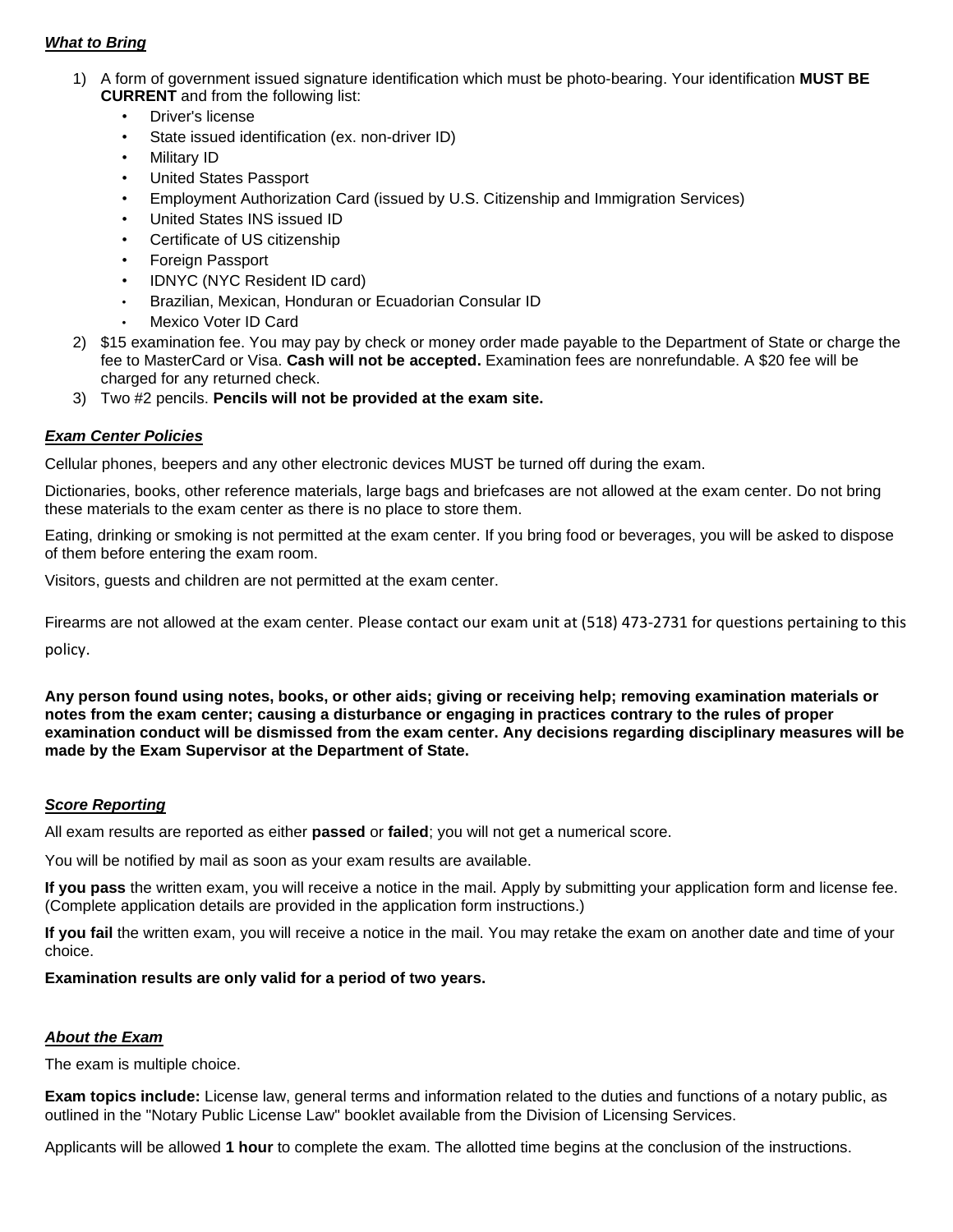#### *What to Bring*

- 1) A form of government issued signature identification which must be photo-bearing. Your identification **MUST BE CURRENT** and from the following list:
	- Driver's license
	- State issued identification (ex. non-driver ID)
	- Military ID
	- United States Passport
	- Employment Authorization Card (issued by U.S. Citizenship and Immigration Services)
	- United States INS issued ID
	- Certificate of US citizenship
	- Foreign Passport
	- IDNYC (NYC Resident ID card)
	- Brazilian, Mexican, Honduran or Ecuadorian Consular ID
	- Mexico Voter ID Card
- 2) \$15 examination fee. You may pay by check or money order made payable to the Department of State or charge the fee to MasterCard or Visa. **Cash will not be accepted.** Examination fees are nonrefundable. A \$20 fee will be charged for any returned check.
- 3) Two #2 pencils. **Pencils will not be provided at the exam site.**

#### *Exam Center Policies*

Cellular phones, beepers and any other electronic devices MUST be turned off during the exam.

Dictionaries, books, other reference materials, large bags and briefcases are not allowed at the exam center. Do not bring these materials to the exam center as there is no place to store them.

Eating, drinking or smoking is not permitted at the exam center. If you bring food or beverages, you will be asked to dispose of them before entering the exam room.

Visitors, guests and children are not permitted at the exam center.

Firearms are not allowed at the exam center. Please contact our exam unit at (518) 473-2731 for questions pertaining to this

policy.

**Any person found using notes, books, or other aids; giving or receiving help; removing examination materials or notes from the exam center; causing a disturbance or engaging in practices contrary to the rules of proper examination conduct will be dismissed from the exam center. Any decisions regarding disciplinary measures will be made by the Exam Supervisor at the Department of State.**

#### *Score Reporting*

All exam results are reported as either **passed** or **failed**; you will not get a numerical score.

You will be notified by mail as soon as your exam results are available.

**If you pass** the written exam, you will receive a notice in the mail. Apply by submitting your application form and license fee. (Complete application details are provided in the application form instructions.)

**If you fail** the written exam, you will receive a notice in the mail. You may retake the exam on another date and time of your choice.

#### **Examination results are only valid for a period of two years.**

#### *About the Exam*

The exam is multiple choice.

**Exam topics include:** License law, general terms and information related to the duties and functions of a notary public, as outlined in the "Notary Public License Law" booklet available from the Division of Licensing Services.

Applicants will be allowed **1 hour** to complete the exam. The allotted time begins at the conclusion of the instructions.